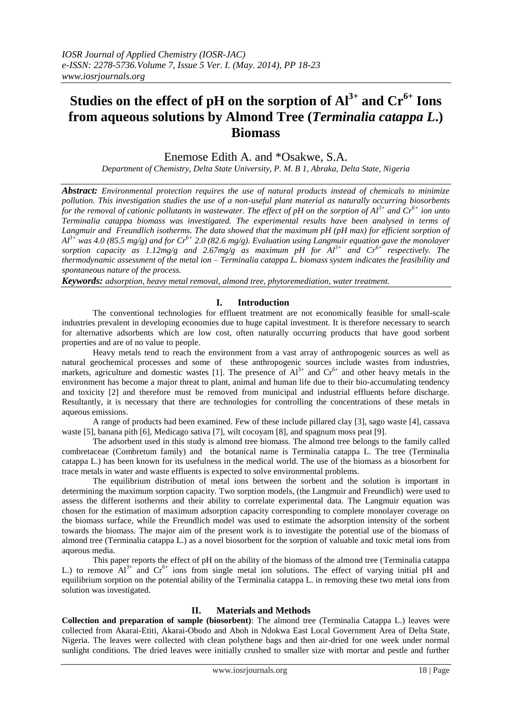# **Studies on the effect of pH on the sorption of Al3+ and Cr6+ Ions from aqueous solutions by Almond Tree (***Terminalia catappa L***.) Biomass**

Enemose Edith A. and \*Osakwe, S.A.

*Department of Chemistry, Delta State University, P. M. B 1, Abraka, Delta State, Nigeria*

*Abstract: Environmental protection requires the use of natural products instead of chemicals to minimize pollution. This investigation studies the use of a non-useful plant material as naturally occurring biosorbents for the removal of cationic pollutants in wastewater. The effect of pH on the sorption of Al3+ and Cr6+ ion unto Terminalia catappa biomass was investigated. The experimental results have been analysed in terms of Langmuir and Freundlich isotherms. The data showed that the maximum pH (pH max) for efficient sorption of*   $A^{3+}$  was 4.0 (85.5 mg/g) and for  $Cr^{6+}$  2.0 (82.6 mg/g). Evaluation using Langmuir equation gave the monolayer sorption capacity as 1.12mg/g and 2.67mg/g as maximum pH for  $Al^{3+}$  and  $Cr^{6+}$  respectively. The *thermodynamic assessment of the metal ion – Terminalia catappa L. biomass system indicates the feasibility and spontaneous nature of the process.*

*Keywords: adsorption, heavy metal removal, almond tree, phytoremediation, water treatment.*

# **I. Introduction**

The conventional technologies for effluent treatment are not economically feasible for small-scale industries prevalent in developing economies due to huge capital investment. It is therefore necessary to search for alternative adsorbents which are low cost, often naturally occurring products that have good sorbent properties and are of no value to people.

Heavy metals tend to reach the environment from a vast array of anthropogenic sources as well as natural geochemical processes and some of these anthropogenic sources include wastes from industries, markets, agriculture and domestic wastes [1]. The presence of  $Al^{3+}$  and  $Cr^{6+}$  and other heavy metals in the environment has become a major threat to plant, animal and human life due to their bio-accumulating tendency and toxicity [2] and therefore must be removed from municipal and industrial effluents before discharge. Resultantly, it is necessary that there are technologies for controlling the concentrations of these metals in aqueous emissions.

A range of products had been examined. Few of these include pillared clay [3], sago waste [4], cassava waste [5], banana pith [6], Medicago sativa [7], wilt cocoyam [8], and spagnum moss peat [9].

The adsorbent used in this study is almond tree biomass. The almond tree belongs to the family called combretaceae (Combretum family) and the botanical name is Terminalia catappa L. The tree (Terminalia catappa L.) has been known for its usefulness in the medical world. The use of the biomass as a biosorbent for trace metals in water and waste effluents is expected to solve environmental problems.

The equilibrium distribution of metal ions between the sorbent and the solution is important in determining the maximum sorption capacity. Two sorption models, (the Langmuir and Freundlich) were used to assess the different isotherms and their ability to correlate experimental data. The Langmuir equation was chosen for the estimation of maximum adsorption capacity corresponding to complete monolayer coverage on the biomass surface, while the Freundlich model was used to estimate the adsorption intensity of the sorbent towards the biomass. The major aim of the present work is to investigate the potential use of the biomass of almond tree (Terminalia catappa L.) as a novel biosorbent for the sorption of valuable and toxic metal ions from aqueous media.

This paper reports the effect of pH on the ability of the biomass of the almond tree (Terminalia catappa L.) to remove  $Al^{3+}$  and  $Cr^{6+}$  ions from single metal ion solutions. The effect of varying initial pH and equilibrium sorption on the potential ability of the Terminalia catappa L. in removing these two metal ions from solution was investigated.

# **II. Materials and Methods**

**Collection and preparation of sample (biosorbent)**: The almond tree (Terminalia Catappa L.) leaves were collected from Akarai-Etiti, Akarai-Obodo and Aboh in Ndokwa East Local Government Area of Delta State, Nigeria. The leaves were collected with clean polythene bags and then air-dried for one week under normal sunlight conditions. The dried leaves were initially crushed to smaller size with mortar and pestle and further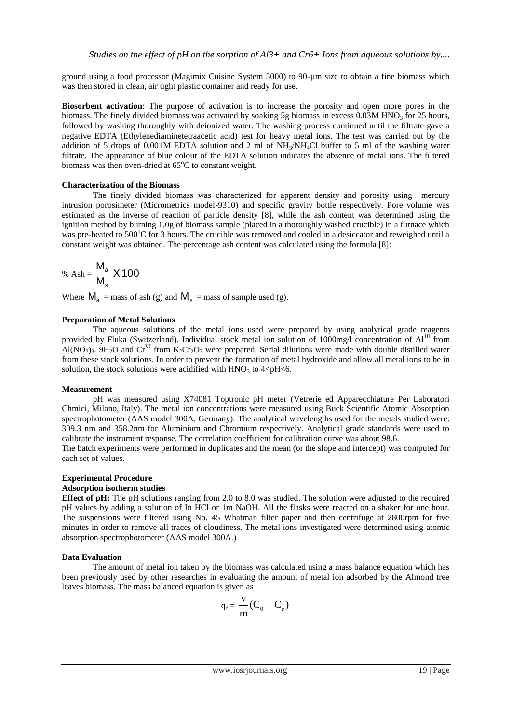ground using a food processor (Magimix Cuisine System 5000) to 90-µm size to obtain a fine biomass which was then stored in clean, air tight plastic container and ready for use.

**Biosorbent activation**: The purpose of activation is to increase the porosity and open more pores in the biomass. The finely divided biomass was activated by soaking 5g biomass in excess 0.03M HNO<sub>3</sub> for 25 hours, followed by washing thoroughly with deionized water. The washing process continued until the filtrate gave a negative EDTA (Ethylenediaminetetraacetic acid) test for heavy metal ions. The test was carried out by the addition of 5 drops of 0.001M EDTA solution and 2 ml of NH3/NH4Cl buffer to 5 ml of the washing water filtrate. The appearance of blue colour of the EDTA solution indicates the absence of metal ions. The filtered biomass was then oven-dried at  $65^{\circ}$ C to constant weight.

## **Characterization of the Biomass**

The finely divided biomass was characterized for apparent density and porosity using mercury intrusion porosimeter (Micrometrics model-9310) and specific gravity bottle respectively. Pore volume was estimated as the inverse of reaction of particle density [8], while the ash content was determined using the ignition method by burning 1.0g of biomass sample (placed in a thoroughly washed crucible) in a furnace which was pre-heated to  $500^{\circ}$ C for 3 hours. The crucible was removed and cooled in a desiccator and reweighed until a constant weight was obtained. The percentage ash content was calculated using the formula [8]:

$$
\% \text{ Ash} = \frac{M_a}{M_s} \times 100
$$

Where  $M_a$  = mass of ash (g) and  $M_s$  = mass of sample used (g).

#### **Preparation of Metal Solutions**

The aqueous solutions of the metal ions used were prepared by using analytical grade reagents provided by Fluka (Switzerland). Individual stock metal ion solution of 1000mg/l concentration of Al<sup>III</sup> from Al(NO<sub>3</sub>)<sub>3</sub>. 9H<sub>2</sub>O and Cr<sup>VI</sup> from K<sub>2</sub>Cr<sub>2</sub>O<sub>7</sub> were prepared. Serial dilutions were made with double distilled water from these stock solutions. In order to prevent the formation of metal hydroxide and allow all metal ions to be in solution, the stock solutions were acidified with  $HNO<sub>3</sub>$  to  $4 < pH < 6$ .

#### **Measurement**

pH was measured using X74081 Toptronic pH meter (Vetrerie ed Apparecchiature Per Laboratori Chmici, Milano, Italy). The metal ion concentrations were measured using Buck Scientific Atomic Absorption spectrophotometer (AAS model 300A, Germany). The analytical wavelengths used for the metals studied were: 309.3 nm and 358.2nm for Aluminium and Chromium respectively. Analytical grade standards were used to calibrate the instrument response. The correlation coefficient for calibration curve was about 98.6.

The batch experiments were performed in duplicates and the mean (or the slope and intercept) was computed for each set of values.

#### **Experimental Procedure**

#### **Adsorption isotherm studies**

**Effect of pH:** The pH solutions ranging from 2.0 to 8.0 was studied. The solution were adjusted to the required pH values by adding a solution of In HCl or 1m NaOH. All the flasks were reacted on a shaker for one hour. The suspensions were filtered using No. 45 Whatman filter paper and then centrifuge at 2800rpm for five minutes in order to remove all traces of cloudiness. The metal ions investigated were determined using atomic absorption spectrophotometer (AAS model 300A.)

## **Data Evaluation**

The amount of metal ion taken by the biomass was calculated using a mass balance equation which has been previously used by other researches in evaluating the amount of metal ion adsorbed by the Almond tree leaves biomass. The mass balanced equation is given as

$$
q_e = \frac{v}{m}(C_0 - C_e)
$$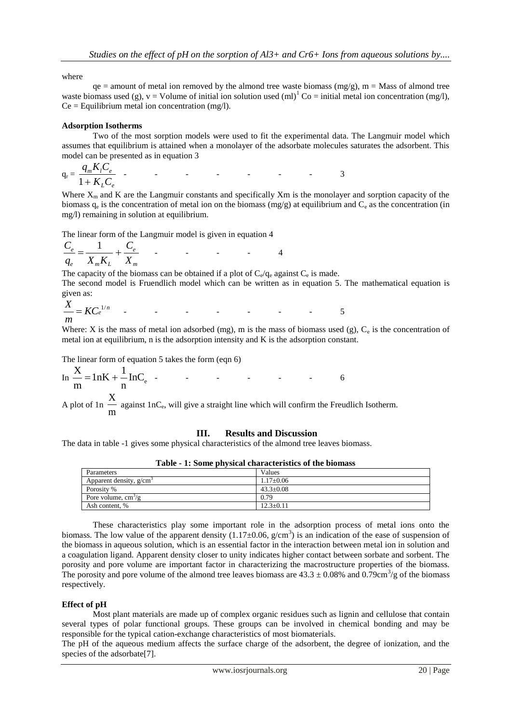where

 $qe =$  amount of metal ion removed by the almond tree waste biomass (mg/g), m = Mass of almond tree waste biomass used (g),  $v =$  Volume of initial ion solution used (ml)<sup>1</sup> Co = initial metal ion concentration (mg/l),  $Ce = Equilibrium metal ion concentration (mg/l).$ 

## **Adsorption Isotherms**

Two of the most sorption models were used to fit the experimental data. The Langmuir model which assumes that equilibrium is attained when a monolayer of the adsorbate molecules saturates the adsorbent. This model can be presented as in equation 3

$$
q_r = \frac{q_m K_l C_e}{1 + K_L C_e}
$$

Where  $X_m$  and K are the Langmuir constants and specifically  $X_m$  is the monolayer and sorption capacity of the biomass  $q_e$  is the concentration of metal ion on the biomass (mg/g) at equilibrium and  $C_e$  as the concentration (in mg/l) remaining in solution at equilibrium.

The linear form of the Langmuir model is given in equation 4

$$
\frac{C_e}{q_e} = \frac{1}{X_m K_L} + \frac{C_e}{X_m}
$$

The capacity of the biomass can be obtained if a plot of  $C_e/q_e$  against  $C_e$  is made. The second model is Fruendlich model which can be written as in equation 5. The mathematical equation is given as:

$$
\frac{X}{m} = KC1/n \qquad \qquad \qquad 5
$$

Where: X is the mass of metal ion adsorbed (mg), m is the mass of biomass used (g),  $C_e$  is the concentration of metal ion at equilibrium, n is the adsorption intensity and K is the adsorption constant.

The linear form of equation 5 takes the form (eqn 6)

$$
\text{In } \frac{X}{m} = 1 \text{nK} + \frac{1}{n} \text{InC}_{\text{e}} \quad \text{-} \quad \text{-} \quad \text{-} \quad \text{-} \quad \text{-} \quad \text{6}
$$

A plot of 1n m against 1nC<sub>e</sub>, will give a straight line which will confirm the Freudlich Isotherm.

## **III. Results and Discussion**

The data in table -1 gives some physical characteristics of the almond tree leaves biomass.

| Parameters                | Values          |
|---------------------------|-----------------|
| Apparent density, $g/cm3$ | $1.17 \pm 0.06$ |
| Porosity %                | $43.3 + 0.08$   |
| Pore volume, $cm^2/g$     | 0.79            |
| Ash content, %            | $12.3 \pm 0.11$ |

These characteristics play some important role in the adsorption process of metal ions onto the biomass. The low value of the apparent density  $(1.17 \pm 0.06, g/cm^3)$  is an indication of the ease of suspension of the biomass in aqueous solution, which is an essential factor in the interaction between metal ion in solution and a coagulation ligand. Apparent density closer to unity indicates higher contact between sorbate and sorbent. The porosity and pore volume are important factor in characterizing the macrostructure properties of the biomass. The porosity and pore volume of the almond tree leaves biomass are  $43.3 \pm 0.08\%$  and  $0.79 \text{cm}^3/\text{g}$  of the biomass respectively.

## **Effect of pH**

Most plant materials are made up of complex organic residues such as lignin and cellulose that contain several types of polar functional groups. These groups can be involved in chemical bonding and may be responsible for the typical cation-exchange characteristics of most biomaterials.

The pH of the aqueous medium affects the surface charge of the adsorbent, the degree of ionization, and the species of the adsorbate[7].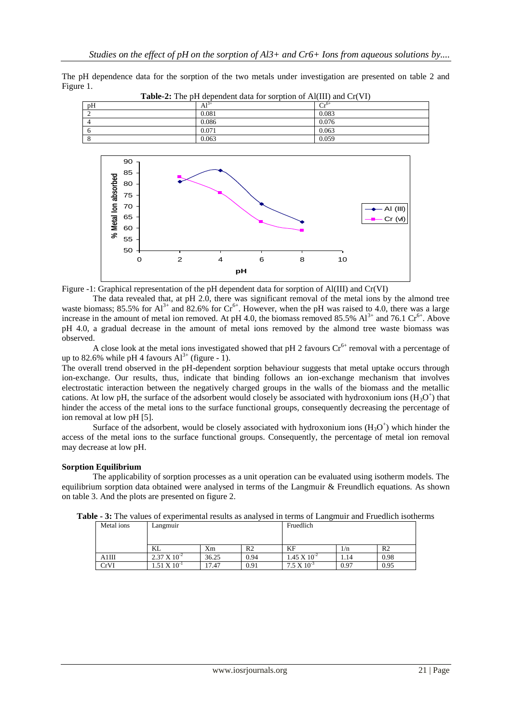The pH dependence data for the sorption of the two metals under investigation are presented on table 2 and Figure 1.

| <b>THEIR 20</b> THE BIT GENERAL GRID TOT SUPPLISH OF THEIR GIVEN CITY IT |           |                              |  |  |  |  |
|--------------------------------------------------------------------------|-----------|------------------------------|--|--|--|--|
| pH                                                                       | $Al^{3+}$ | $C_{r}$ <sup>6+</sup><br>. . |  |  |  |  |
|                                                                          | 0.081     | 0.083                        |  |  |  |  |
|                                                                          | 0.086     | 0.076                        |  |  |  |  |
|                                                                          | 0.071     | 0.063                        |  |  |  |  |
|                                                                          | 0.063     | 0.059                        |  |  |  |  |
|                                                                          |           |                              |  |  |  |  |

**Table-2:** The pH dependent data for sorption of Al(III) and Cr(VI)



Figure -1: Graphical representation of the pH dependent data for sorption of Al(III) and Cr(VI)

The data revealed that, at pH 2.0, there was significant removal of the metal ions by the almond tree waste biomass; 85.5% for  $Al^{3+}$  and 82.6% for  $Cr^{6+}$ . However, when the pH was raised to 4.0, there was a large increase in the amount of metal ion removed. At pH 4.0, the biomass removed 85.5%  $Al^{3+}$  and 76.1 Cr<sup>6+</sup>. Above pH 4.0, a gradual decrease in the amount of metal ions removed by the almond tree waste biomass was observed.

A close look at the metal ions investigated showed that pH 2 favours  $Cr<sup>6+</sup>$  removal with a percentage of up to 82.6% while pH 4 favours  $Al^{3+}$  (figure - 1).

The overall trend observed in the pH-dependent sorption behaviour suggests that metal uptake occurs through ion-exchange. Our results, thus, indicate that binding follows an ion-exchange mechanism that involves electrostatic interaction between the negatively charged groups in the walls of the biomass and the metallic cations. At low pH, the surface of the adsorbent would closely be associated with hydroxonium ions  $(H_3O^+)$  that hinder the access of the metal ions to the surface functional groups, consequently decreasing the percentage of ion removal at low pH [5].

Surface of the adsorbent, would be closely associated with hydroxonium ions  $(H_3O^+)$  which hinder the access of the metal ions to the surface functional groups. Consequently, the percentage of metal ion removal may decrease at low pH.

# **Sorption Equilibrium**

The applicability of sorption processes as a unit operation can be evaluated using isotherm models. The equilibrium sorption data obtained were analysed in terms of the Langmuir & Freundlich equations. As shown on table 3. And the plots are presented on figure 2.

| Metal ions | Langmuir                    |       |                | Fruedlich             |      |                |
|------------|-----------------------------|-------|----------------|-----------------------|------|----------------|
|            | KL                          | Xm    | R <sub>2</sub> | KF                    | 1/n  | R <sub>2</sub> |
| A1III      | $2.37 \times 10^{-2}$       | 36.25 | 0.94           | $1.45 \times 10^{-2}$ | 1.14 | 0.98           |
| CrVI       | 1.51 $\mathrm{X}$ $10^{-1}$ | 17.47 | 0.91           | $7.5 \times 10^{-3}$  | 0.97 | 0.95           |

**Table - 3:** The values of experimental results as analysed in terms of Langmuir and Fruedlich isotherms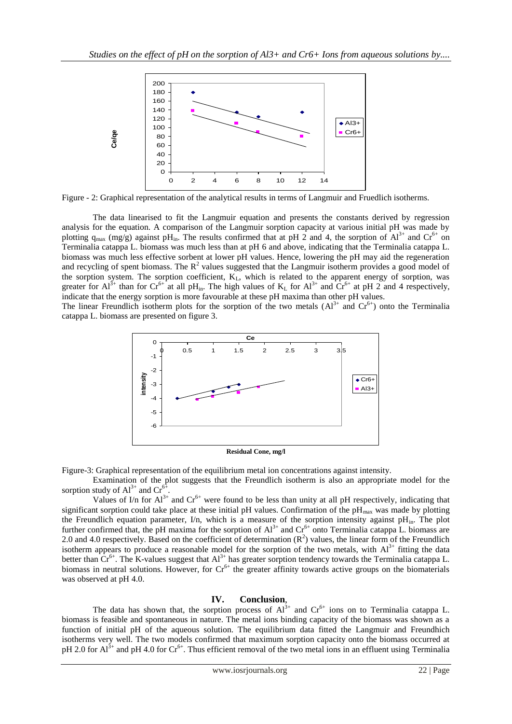

Figure - 2: Graphical representation of the analytical results in terms of Langmuir and Fruedlich isotherms.

The data linearised to fit the Langmuir equation and presents the constants derived by regression analysis for the equation. A comparison of the Langmuir sorption capacity at various initial pH was made by plotting  $q_{max}$  (mg/g) against pH<sub>in</sub>. The results confirmed that at pH 2 and 4, the sorption of  $Al^{3+}$  and  $Cr^{6+}$  on Terminalia catappa L. biomass was much less than at pH 6 and above, indicating that the Terminalia catappa L. biomass was much less effective sorbent at lower pH values. Hence, lowering the pH may aid the regeneration and recycling of spent biomass. The  $R^2$  values suggested that the Langmuir isotherm provides a good model of the sorption system. The sorption coefficient,  $K_L$ , which is related to the apparent energy of sorption, was greater for  $Al^{3+}$  than for  $Cr^{6+}$  at all pH<sub>in</sub>. The high values of  $K_L$  for  $Al^{3+}$  and  $Cr^{6+}$  at pH 2 and 4 respectively, indicate that the energy sorption is more favourable at these pH maxima than other pH values.

The linear Freundlich isotherm plots for the sorption of the two metals  $(A1^{3+}$  and  $Cr^{6+}$ ) onto the Terminalia catappa L. biomass are presented on figure 3.



Figure-3: Graphical representation of the equilibrium metal ion concentrations against intensity.

Examination of the plot suggests that the Freundlich isotherm is also an appropriate model for the sorption study of  $Al^{3+}$  and  $Cr^{6+}$ .

Values of I/n for  $Al^{3+}$  and  $Cr^{6+}$  were found to be less than unity at all pH respectively, indicating that significant sorption could take place at these initial pH values. Confirmation of the  $pH_{\text{max}}$  was made by plotting the Freundlich equation parameter, I/n, which is a measure of the sorption intensity against  $pH_{in}$ . The plot further confirmed that, the pH maxima for the sorption of  $Al^{3+}$  and  $Cr^{6+}$  onto Terminalia catappa L. biomass are 2.0 and 4.0 respectively. Based on the coefficient of determination  $(R^2)$  values, the linear form of the Freundlich isotherm appears to produce a reasonable model for the sorption of the two metals, with  $Al<sup>3+</sup>$  fitting the data better than  $Cr^{6+}$ . The K-values suggest that  $Al^{3+}$  has greater sorption tendency towards the Terminalia catappa L. biomass in neutral solutions. However, for  $Cr^{6+}$  the greater affinity towards active groups on the biomaterials was observed at pH 4.0. **Example 1.** For Alice the photograph of the photograph of Alice the two metal is the two metal in an effect of the two metals of the two metals of the two metals of the two metals of the two metals of the two metals of t

# **IV. Conclusion**,

The data has shown that, the sorption process of  $Al^{3+}$  and  $Cr^{6+}$  ions on to Terminalia catappa L. biomass is feasible and spontaneous in nature. The metal ions binding capacity of the biomass was shown as a function of initial pH of the aqueous solution. The equilibrium data fitted the Langmuir and Freundhich isotherms very well. The two models confirmed that maximum sorption capacity onto the biomass occurred at